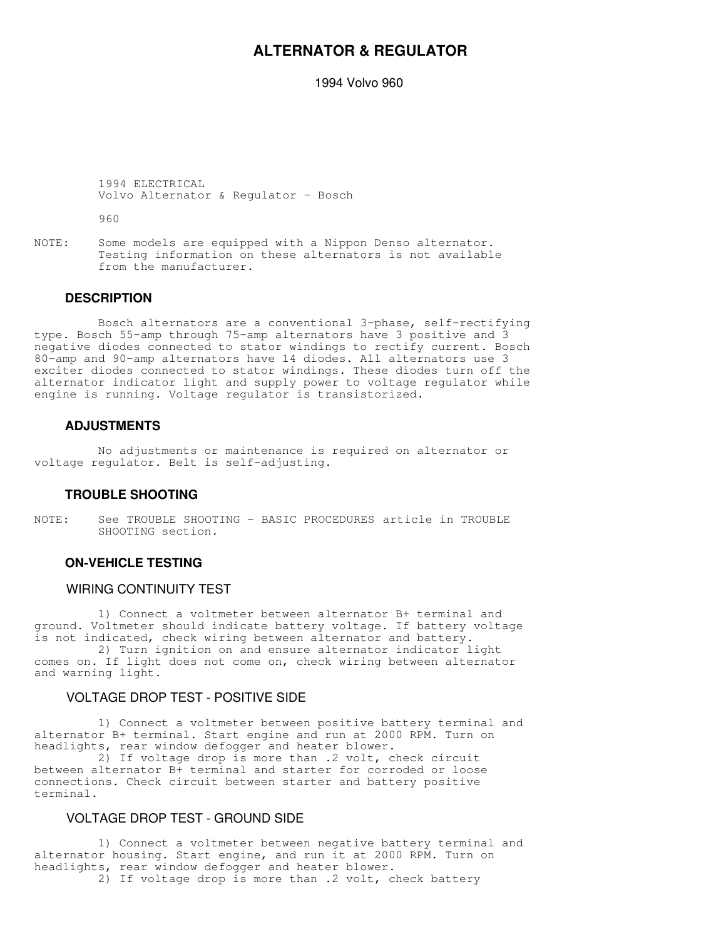# **ALTERNATOR & REGULATOR**

1994 Volvo 960

 1994 ELECTRICAL Volvo Alternator & Regulator - Bosch

960

NOTE: Some models are equipped with a Nippon Denso alternator. Testing information on these alternators is not available from the manufacturer.

## **DESCRIPTION**

 Bosch alternators are a conventional 3-phase, self-rectifying type. Bosch 55-amp through 75-amp alternators have 3 positive and 3 negative diodes connected to stator windings to rectify current. Bosch 80-amp and 90-amp alternators have 14 diodes. All alternators use 3 exciter diodes connected to stator windings. These diodes turn off the alternator indicator light and supply power to voltage regulator while engine is running. Voltage regulator is transistorized.

#### **ADJUSTMENTS**

 No adjustments or maintenance is required on alternator or voltage regulator. Belt is self-adjusting.

## **TROUBLE SHOOTING**

NOTE: See TROUBLE SHOOTING - BASIC PROCEDURES article in TROUBLE SHOOTING section.

# **ON-VEHICLE TESTING**

#### WIRING CONTINUITY TEST

 1) Connect a voltmeter between alternator B+ terminal and ground. Voltmeter should indicate battery voltage. If battery voltage is not indicated, check wiring between alternator and battery.

 2) Turn ignition on and ensure alternator indicator light comes on. If light does not come on, check wiring between alternator and warning light.

## VOLTAGE DROP TEST - POSITIVE SIDE

 1) Connect a voltmeter between positive battery terminal and alternator B+ terminal. Start engine and run at 2000 RPM. Turn on headlights, rear window defogger and heater blower.

 2) If voltage drop is more than .2 volt, check circuit between alternator B+ terminal and starter for corroded or loose connections. Check circuit between starter and battery positive terminal.

## VOLTAGE DROP TEST - GROUND SIDE

 1) Connect a voltmeter between negative battery terminal and alternator housing. Start engine, and run it at 2000 RPM. Turn on headlights, rear window defogger and heater blower. 2) If voltage drop is more than .2 volt, check battery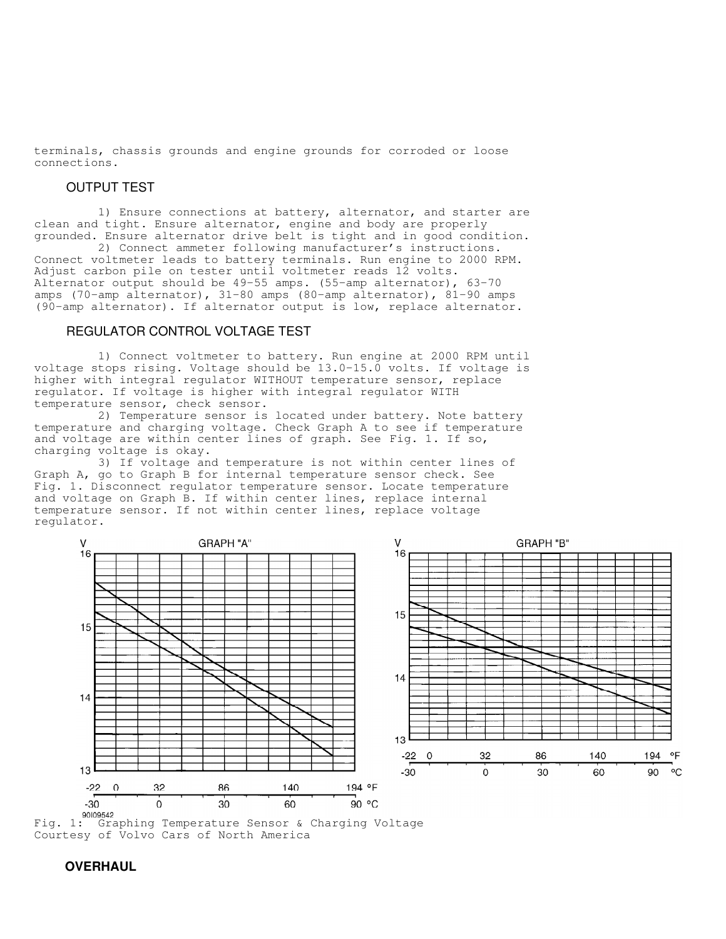terminals, chassis grounds and engine grounds for corroded or loose connections.

#### OUTPUT TEST

 1) Ensure connections at battery, alternator, and starter are clean and tight. Ensure alternator, engine and body are properly grounded. Ensure alternator drive belt is tight and in good condition.

 2) Connect ammeter following manufacturer's instructions. Connect voltmeter leads to battery terminals. Run engine to 2000 RPM. Adjust carbon pile on tester until voltmeter reads 12 volts. Alternator output should be 49-55 amps. (55-amp alternator), 63-70 amps (70-amp alternator), 31-80 amps (80-amp alternator), 81-90 amps (90-amp alternator). If alternator output is low, replace alternator.

# REGULATOR CONTROL VOLTAGE TEST

 1) Connect voltmeter to battery. Run engine at 2000 RPM until voltage stops rising. Voltage should be 13.0-15.0 volts. If voltage is higher with integral regulator WITHOUT temperature sensor, replace regulator. If voltage is higher with integral regulator WITH temperature sensor, check sensor.

 2) Temperature sensor is located under battery. Note battery temperature and charging voltage. Check Graph A to see if temperature and voltage are within center lines of graph. See Fig. 1. If so, charging voltage is okay.

 3) If voltage and temperature is not within center lines of Graph A, go to Graph B for internal temperature sensor check. See Fig. 1. Disconnect regulator temperature sensor. Locate temperature and voltage on Graph B. If within center lines, replace internal temperature sensor. If not within center lines, replace voltage regulator.



Fig. 1: Graphing Temperature Sensor & Charging Voltage Courtesy of Volvo Cars of North America

# **OVERHAUL**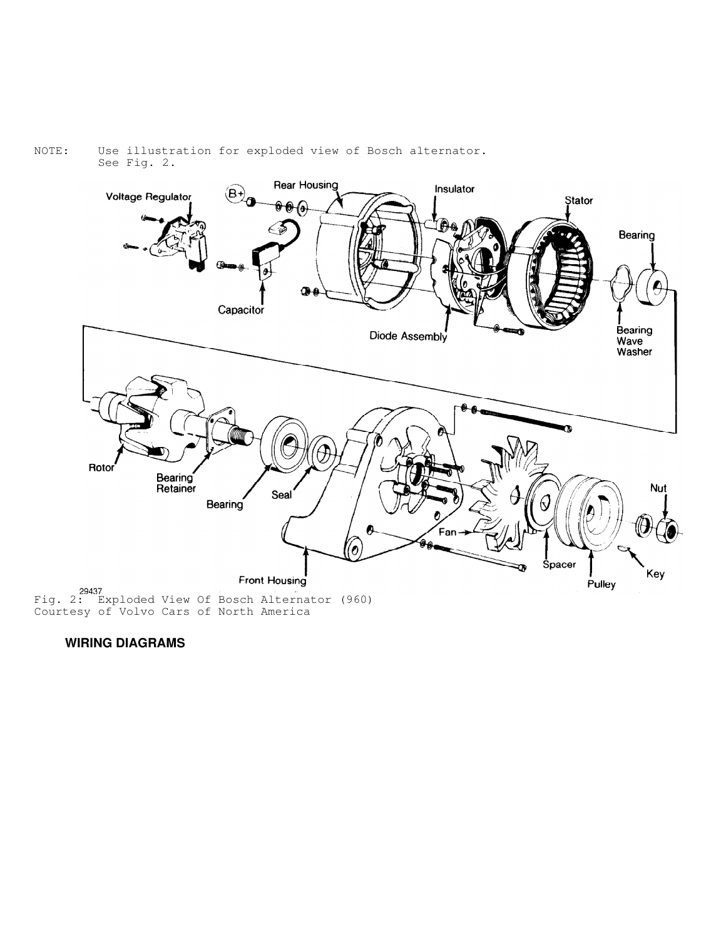#### NOTE: Use illustration for exploded view of Bosch alternator. See Fig. 2.



Courtesy of Volvo Cars of North America

 **WIRING DIAGRAMS**